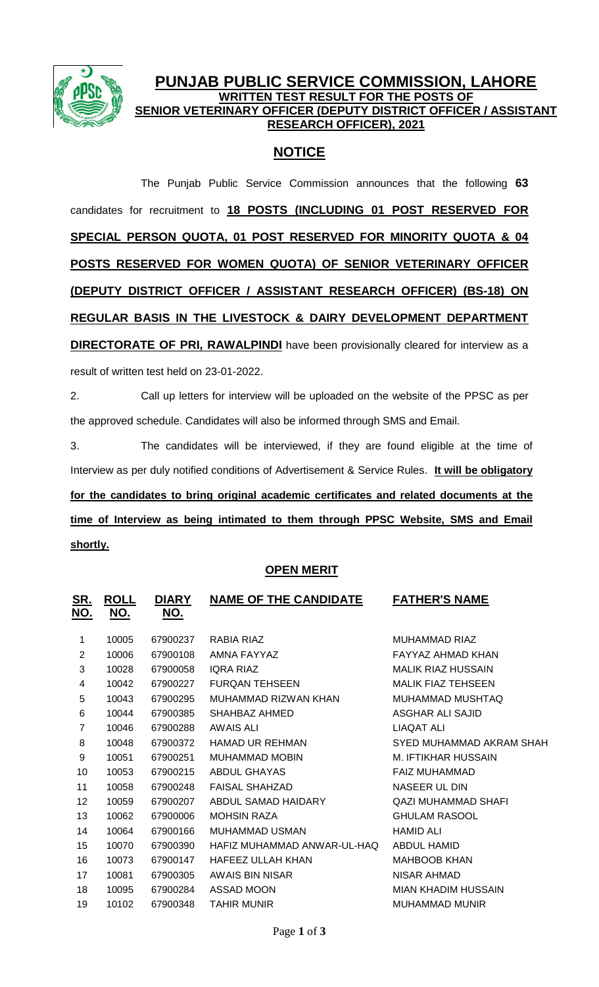

## **PUNJAB PUBLIC SERVICE COMMISSION, LAHORE WRITTEN TEST RESULT FOR THE POSTS OF SENIOR VETERINARY OFFICER (DEPUTY DISTRICT OFFICER / ASSISTANT RESEARCH OFFICER), 2021**

# **NOTICE**

The Punjab Public Service Commission announces that the following **63** candidates for recruitment to **18 POSTS (INCLUDING 01 POST RESERVED FOR SPECIAL PERSON QUOTA, 01 POST RESERVED FOR MINORITY QUOTA & 04 POSTS RESERVED FOR WOMEN QUOTA) OF SENIOR VETERINARY OFFICER (DEPUTY DISTRICT OFFICER / ASSISTANT RESEARCH OFFICER) (BS-18) ON REGULAR BASIS IN THE LIVESTOCK & DAIRY DEVELOPMENT DEPARTMENT DIRECTORATE OF PRI, RAWALPINDI** have been provisionally cleared for interview as a result of written test held on 23-01-2022.

2. Call up letters for interview will be uploaded on the website of the PPSC as per the approved schedule. Candidates will also be informed through SMS and Email.

3. The candidates will be interviewed, if they are found eligible at the time of Interview as per duly notified conditions of Advertisement & Service Rules. **It will be obligatory for the candidates to bring original academic certificates and related documents at the time of Interview as being intimated to them through PPSC Website, SMS and Email shortly.**

## **OPEN MERIT**

| <u>ROLL</u><br><u>NO.</u> | <u>DIARY</u><br><u>NO.</u> | <b>NAME OF THE CANDIDATE</b> | <b>FATHER'S NAME</b>       |
|---------------------------|----------------------------|------------------------------|----------------------------|
| 10005                     | 67900237                   | RABIA RIAZ                   | MUHAMMAD RIAZ              |
| 10006                     | 67900108                   | AMNA FAYYAZ                  | FAYYAZ AHMAD KHAN          |
| 10028                     | 67900058                   | <b>IQRA RIAZ</b>             | <b>MALIK RIAZ HUSSAIN</b>  |
| 10042                     | 67900227                   | <b>FURQAN TEHSEEN</b>        | <b>MALIK FIAZ TEHSEEN</b>  |
| 10043                     | 67900295                   | MUHAMMAD RIZWAN KHAN         | MUHAMMAD MUSHTAQ           |
| 10044                     | 67900385                   | SHAHBAZ AHMED                | <b>ASGHAR ALI SAJID</b>    |
| 10046                     | 67900288                   | AWAIS ALI                    | <b>LIAQAT ALI</b>          |
| 10048                     | 67900372                   | <b>HAMAD UR REHMAN</b>       | SYED MUHAMMAD AKRAM SHAH   |
| 10051                     | 67900251                   | <b>MUHAMMAD MOBIN</b>        | M. IFTIKHAR HUSSAIN        |
| 10053                     | 67900215                   | <b>ABDUL GHAYAS</b>          | <b>FAIZ MUHAMMAD</b>       |
| 10058                     | 67900248                   | <b>FAISAL SHAHZAD</b>        | NASEER UL DIN              |
| 10059                     | 67900207                   | ABDUL SAMAD HAIDARY          | <b>QAZI MUHAMMAD SHAFI</b> |
| 10062                     | 67900006                   | <b>MOHSIN RAZA</b>           | <b>GHULAM RASOOL</b>       |
| 10064                     | 67900166                   | <b>MUHAMMAD USMAN</b>        | <b>HAMID ALI</b>           |
| 10070                     | 67900390                   | HAFIZ MUHAMMAD ANWAR-UL-HAQ  | <b>ABDUL HAMID</b>         |
| 10073                     | 67900147                   | <b>HAFEEZ ULLAH KHAN</b>     | <b>MAHBOOB KHAN</b>        |
| 10081                     | 67900305                   | AWAIS BIN NISAR              | NISAR AHMAD                |
| 10095                     | 67900284                   | ASSAD MOON                   | <b>MIAN KHADIM HUSSAIN</b> |
| 10102                     | 67900348                   | <b>TAHIR MUNIR</b>           | <b>MUHAMMAD MUNIR</b>      |
|                           |                            |                              |                            |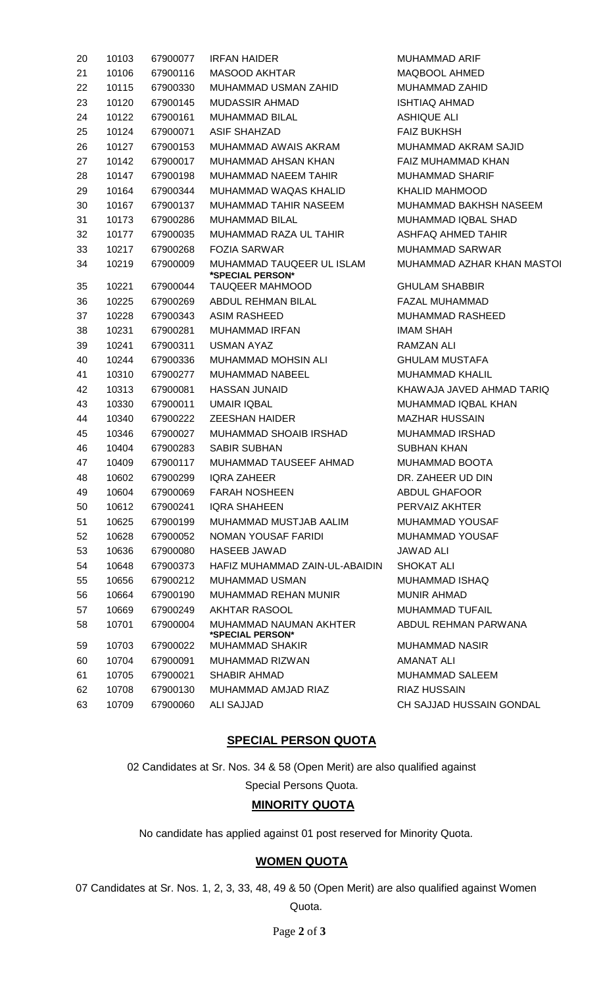| 20 | 10103 | 67900077 | <b>IRFAN HAIDER</b>                           | <b>MUHAMMAD ARIF</b>       |
|----|-------|----------|-----------------------------------------------|----------------------------|
| 21 | 10106 | 67900116 | <b>MASOOD AKHTAR</b>                          | MAQBOOL AHMED              |
| 22 | 10115 | 67900330 | MUHAMMAD USMAN ZAHID                          | MUHAMMAD ZAHID             |
| 23 | 10120 | 67900145 | <b>MUDASSIR AHMAD</b>                         | <b>ISHTIAQ AHMAD</b>       |
| 24 | 10122 | 67900161 | MUHAMMAD BILAL                                | <b>ASHIQUE ALI</b>         |
| 25 | 10124 | 67900071 | <b>ASIF SHAHZAD</b>                           | <b>FAIZ BUKHSH</b>         |
| 26 | 10127 | 67900153 | MUHAMMAD AWAIS AKRAM                          | MUHAMMAD AKRAM SAJID       |
| 27 | 10142 | 67900017 | MUHAMMAD AHSAN KHAN                           | FAIZ MUHAMMAD KHAN         |
| 28 | 10147 | 67900198 | MUHAMMAD NAEEM TAHIR                          | <b>MUHAMMAD SHARIF</b>     |
| 29 | 10164 | 67900344 | MUHAMMAD WAQAS KHALID                         | <b>KHALID MAHMOOD</b>      |
| 30 | 10167 | 67900137 | MUHAMMAD TAHIR NASEEM                         | MUHAMMAD BAKHSH NASEEM     |
| 31 | 10173 | 67900286 | <b>MUHAMMAD BILAL</b>                         | <b>MUHAMMAD IQBAL SHAD</b> |
| 32 | 10177 | 67900035 | MUHAMMAD RAZA UL TAHIR                        | ASHFAQ AHMED TAHIR         |
| 33 | 10217 | 67900268 | <b>FOZIA SARWAR</b>                           | <b>MUHAMMAD SARWAR</b>     |
| 34 | 10219 | 67900009 | MUHAMMAD TAUQEER UL ISLAM<br>*SPECIAL PERSON* | MUHAMMAD AZHAR KHAN MASTOI |
| 35 | 10221 | 67900044 | <b>TAUQEER MAHMOOD</b>                        | <b>GHULAM SHABBIR</b>      |
| 36 | 10225 | 67900269 | ABDUL REHMAN BILAL                            | <b>FAZAL MUHAMMAD</b>      |
| 37 | 10228 | 67900343 | <b>ASIM RASHEED</b>                           | MUHAMMAD RASHEED           |
| 38 | 10231 | 67900281 | MUHAMMAD IRFAN                                | <b>IMAM SHAH</b>           |
| 39 | 10241 | 67900311 | <b>USMAN AYAZ</b>                             | <b>RAMZAN ALI</b>          |
| 40 | 10244 | 67900336 | MUHAMMAD MOHSIN ALI                           | <b>GHULAM MUSTAFA</b>      |
| 41 | 10310 | 67900277 | <b>MUHAMMAD NABEEL</b>                        | <b>MUHAMMAD KHALIL</b>     |
| 42 | 10313 | 67900081 | <b>HASSAN JUNAID</b>                          | KHAWAJA JAVED AHMAD TARIQ  |
| 43 | 10330 | 67900011 | <b>UMAIR IQBAL</b>                            | <b>MUHAMMAD IQBAL KHAN</b> |
| 44 | 10340 | 67900222 | <b>ZEESHAN HAIDER</b>                         | <b>MAZHAR HUSSAIN</b>      |
| 45 | 10346 | 67900027 | MUHAMMAD SHOAIB IRSHAD                        | <b>MUHAMMAD IRSHAD</b>     |
| 46 | 10404 | 67900283 | <b>SABIR SUBHAN</b>                           | <b>SUBHAN KHAN</b>         |
| 47 | 10409 | 67900117 | MUHAMMAD TAUSEEF AHMAD                        | MUHAMMAD BOOTA             |
| 48 | 10602 | 67900299 | <b>IQRA ZAHEER</b>                            | DR. ZAHEER UD DIN          |
| 49 | 10604 | 67900069 | FARAH NOSHEEN <b>ERABA</b>                    | ABDUL GHAFOOR              |
| 50 | 10612 | 67900241 | <b>IQRA SHAHEEN</b>                           | PERVAIZ AKHTER             |
| 51 | 10625 | 67900199 | MUHAMMAD MUSTJAB AALIM                        | <b>MUHAMMAD YOUSAF</b>     |
| 52 | 10628 | 67900052 | NOMAN YOUSAF FARIDI                           | <b>MUHAMMAD YOUSAF</b>     |
| 53 | 10636 | 67900080 | HASEEB JAWAD                                  | <b>JAWAD ALI</b>           |
| 54 | 10648 | 67900373 | HAFIZ MUHAMMAD ZAIN-UL-ABAIDIN                | <b>SHOKAT ALI</b>          |
| 55 | 10656 | 67900212 | <b>MUHAMMAD USMAN</b>                         | MUHAMMAD ISHAQ             |
| 56 | 10664 | 67900190 | MUHAMMAD REHAN MUNIR                          | <b>MUNIR AHMAD</b>         |
| 57 | 10669 | 67900249 | AKHTAR RASOOL                                 | <b>MUHAMMAD TUFAIL</b>     |
| 58 | 10701 | 67900004 | MUHAMMAD NAUMAN AKHTER<br>*SPECIAL PERSON*    | ABDUL REHMAN PARWANA       |
| 59 | 10703 | 67900022 | <b>MUHAMMAD SHAKIR</b>                        | MUHAMMAD NASIR             |
| 60 | 10704 | 67900091 | MUHAMMAD RIZWAN                               | <b>AMANAT ALI</b>          |
| 61 | 10705 | 67900021 | <b>SHABIR AHMAD</b>                           | <b>MUHAMMAD SALEEM</b>     |
| 62 | 10708 | 67900130 | MUHAMMAD AMJAD RIAZ                           | RIAZ HUSSAIN               |
| 63 | 10709 | 67900060 | <b>ALI SAJJAD</b>                             | CH SAJJAD HUSSAIN GONDAL   |

### **SPECIAL PERSON QUOTA**

02 Candidates at Sr. Nos. 34 & 58 (Open Merit) are also qualified against Special Persons Quota.

#### **MINORITY QUOTA**

No candidate has applied against 01 post reserved for Minority Quota.

#### **WOMEN QUOTA**

 Candidates at Sr. Nos. 1, 2, 3, 33, 48, 49 & 50 (Open Merit) are also qualified against Women Quota.